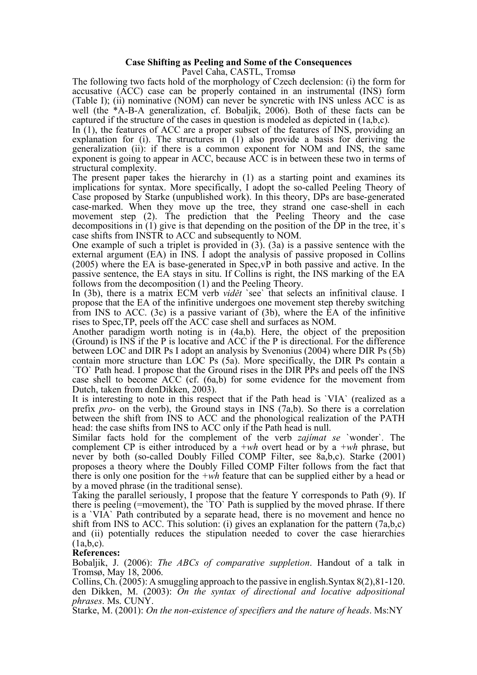## **Case Shifting as Peeling and Some of the Consequences**

Pavel Caha, CASTL, Tromsø

The following two facts hold of the morphology of Czech declension: (i) the form for accusative (ACC) case can be properly contained in an instrumental (INS) form (Table I); (ii) nominative (NOM) can never be syncretic with INS unless ACC is as well (the \*A-B-A generalization, cf. Bobaljik, 2006). Both of these facts can be captured if the structure of the cases in question is modeled as depicted in (1a,b,c). In (1), the features of ACC are <sup>a</sup> proper subset of the features of INS, providing an

explanation for (i). The structures in (1) also provide a basis for deriving the generalization (ii): if there is a common exponent for NOM and INS, the same exponent is going to appear in ACC, because ACC is in between these two in terms of structural complexity.

The present paper takes the hierarchy in (1) as a starting point and examines its implications for syntax. More specifically, I adopt the so-called Peeling Theory of Case proposed by Starke (unpublished work). In this theory, DPs are base-generated case-marked. When they move up the tree, they strand one case-shell in each movement step (2). The prediction that the Peeling Theory and the case decompositions in  $(1)$  give is that depending on the position of the DP in the tree, it's case shifts from INSTR to ACC and subsequently to NOM.

One example of such a triplet is provided in  $(3)$ .  $(3a)$  is a passive sentence with the external argument (EA) in INS. I adopt the analysis of passive proposed in Collins (2005) where the EA is base-generated in Spec,vP in both passive and active. In the passive sentence, the EA stays in situ. If Collins is right, the INS marking of the EA follows from the decomposition (1) and the Peeling Theory. In (3b), there is <sup>a</sup> matrix ECM verb *vidě<sup>t</sup>* `see` that selects an infinitival clause. <sup>I</sup>

propose that the EA of the infinitive undergoes one movement step thereby switching from INS to ACC. (3c) is a passive variant of (3b), where the EA of the infinitive

Another paradigm worth noting is in  $(4a,b)$ . Here, the object of the preposition (Ground) is INS if the P is locative and ACC if the P is directional. For the difference between LOC and DIR Ps I adopt an analysis by Svenonius (2004) where DIR Ps (5b) contain more structure than LOC Ps (5a). More specifically, the DIR Ps contain <sup>a</sup> `TO` Path head. <sup>I</sup> propose that the Ground rises in the DIR PPs and peels off the INS case shell to become ACC (cf. (6a,b) for some evidence for the movement from Dutch, taken from denDikken, 2003).

It is interesting to note in this respect that if the Path head is `VIA` (realized as a prefix *pro-* on the verb), the Ground stays in INS (7a,b). So there is a correlation between the shift from INS to ACC and the phonological realization of the PATH head: the case shifts from INS to ACC only if the Path head is null.

Similar facts hold for the complement of the verb *zajímat se* `wonder`. The complement CP is either introduced by a *+wh* overt head or by a *+wh* phrase, but never by both (so-called Doubly Filled COMP Filter, see 8a,b,c). Starke (2001) proposes a theory where the Doubly Filled COMP Filter follows from the fact that there is only one position for the *+wh* feature that can be supplied either by a head or

by a moved phrase (in the traditional sense). Taking the parallel seriously, <sup>I</sup> propose that the feature <sup>Y</sup> corresponds to Path (9). If there is peeling (=movement), the `TO` Path is supplied by the moved phrase. If there is a `VIA` Path contributed by a separate head, there is no movement and hence no shift from INS to ACC. This solution: (i) gives an explanation for the pattern  $(7a,b,c)$ and (ii) potentially reduces the stipulation needed to cover the case hierarchies (1a,b,c). **References:**

Bobaljik, J. (2006): *The ABCs of comparative suppletion*. Handout of a talk in

Tromsø, May 18, 2006. Collins, Ch. (2005): <sup>A</sup> smuggling approach to the passive in english.Syntax 8(2),81-120. den Dikken, M. (2003): *On the syntax of directional and locative adpositional phrases*. Ms. CUNY.

Starke, M. (2001): *On the non-existence of specifiers and the nature of heads*. Ms:NY